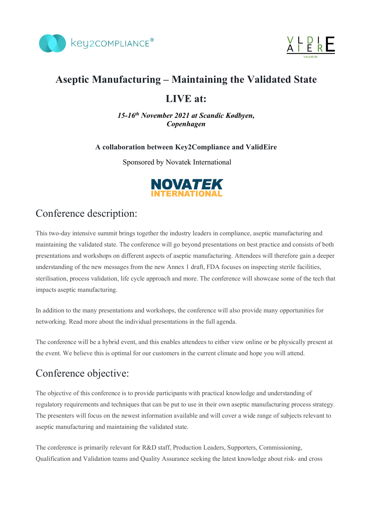



# **Aseptic Manufacturing – Maintaining the Validated State**

## **LIVE at:**

*15-16th November 2021 at Scandic Kødbyen, Copenhagen*

### **A collaboration between Key2Compliance and ValidEire**

Sponsored by Novatek International



# Conference description:

This two-day intensive summit brings together the industry leaders in compliance, aseptic manufacturing and maintaining the validated state. The conference will go beyond presentations on best practice and consists of both presentations and workshops on different aspects of aseptic manufacturing. Attendees will therefore gain a deeper understanding of the new messages from the new Annex 1 draft, FDA focuses on inspecting sterile facilities, sterilisation, process validation, life cycle approach and more. The conference will showcase some of the tech that impacts aseptic manufacturing.

In addition to the many presentations and workshops, the conference will also provide many opportunities for networking. Read more about the individual presentations in the full agenda.

The conference will be a hybrid event, and this enables attendees to either view online or be physically present at the event. We believe this is optimal for our customers in the current climate and hope you will attend.

# Conference objective:

The objective of this conference is to provide participants with practical knowledge and understanding of regulatory requirements and techniques that can be put to use in their own aseptic manufacturing process strategy. The presenters will focus on the newest information available and will cover a wide range of subjects relevant to aseptic manufacturing and maintaining the validated state.

The conference is primarily relevant for R&D staff, Production Leaders, Supporters, Commissioning, Qualification and Validation teams and Quality Assurance seeking the latest knowledge about risk- and cross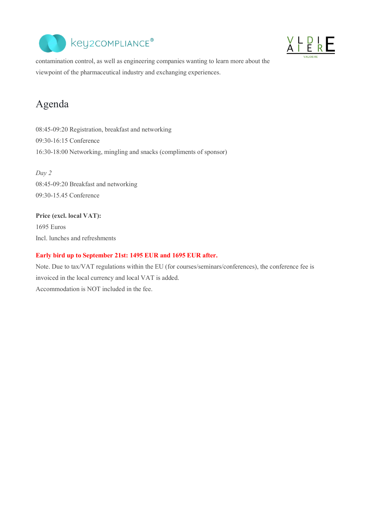



contamination control, as well as engineering companies wanting to learn more about the viewpoint of the pharmaceutical industry and exchanging experiences.

# Agenda

08:45-09:20 Registration, breakfast and networking 09:30-16:15 Conference 16:30-18:00 Networking, mingling and snacks (compliments of sponsor)

*Day 2* 08:45-09:20 Breakfast and networking 09:30-15.45 Conference

## **Price (excl. local VAT):** 1695 Euros Incl. lunches and refreshments

#### **Early bird up to September 21st: 1495 EUR and 1695 EUR after.**

Note. Due to tax/VAT regulations within the EU (for courses/seminars/conferences), the conference fee is invoiced in the local currency and local VAT is added. Accommodation is NOT included in the fee.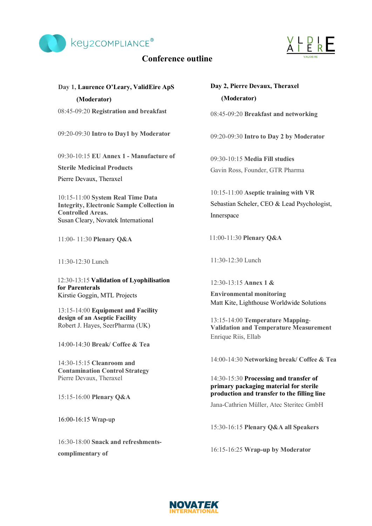

### **Conference outline**



## **Day 1, Laurence O'Leary, ValidEire ApS (Moderator)**

08:45-09:20 **Registration and breakfast**

09:20-09:30 **Intro to Day1 by Moderator**

09:30-10:15 **EU Annex 1 - Manufacture of** 

**Sterile Medicinal Products**

Pierre Devaux, Theraxel

10:15-11:00 **System Real Time Data Integrity, Electronic Sample Collection in Controlled Areas.** Susan Cleary, Novatek International

11:00- 11:30 **Plenary Q&A**

11:30-12:30 Lunch

12:30-13:15 **Validation of Lyophilisation for Parenterals** Kirstie Goggin, MTL Projects

13:15-14:00 **Equipment and Facility design of an Aseptic Facility** Robert J. Hayes, SeerPharma (UK)

14:00-14:30 **Break/ Coffee & Tea** 

14:30-15:15 **Cleanroom and Contamination Control Strategy** Pierre Devaux, Theraxel

15:15-16:00 **Plenary Q&A** 

16:00-16:15 Wrap-up

16:30-18:00 **Snack and refreshmentscomplimentary of** 

## **Day 2, Pierre Devaux, Theraxel (Moderator)**

08:45-09:20 **Breakfast and networking**

09:20-09:30 **Intro to Day 2 by Moderator**

09:30-10:15 **Media Fill studies** Gavin Ross, Founder, GTR Pharma

10:15-11:00 **Aseptic training with VR** Sebastian Scheler, CEO & Lead Psychologist, Innerspace

11:00-11:30 **Plenary Q&A**

11:30-12:30 Lunch

12:30-13:15 **Annex 1 &** 

**Environmental monitoring**  Matt Kite, Lighthouse Worldwide Solutions

13:15-14:00 **Temperature Mapping**-**Validation and Temperature Measurement** Enrique Riis, Ellab

14:00-14:30 **Networking break/ Coffee & Tea** 

14:30-15:30 **Processing and transfer of primary packaging material for sterile production and transfer to the filling line**

Jana-Cathrien Müller, Atec Steritec GmbH

15:30-16:15 **Plenary Q&A all Speakers**

16:15-16:25 **Wrap-up by Moderator**

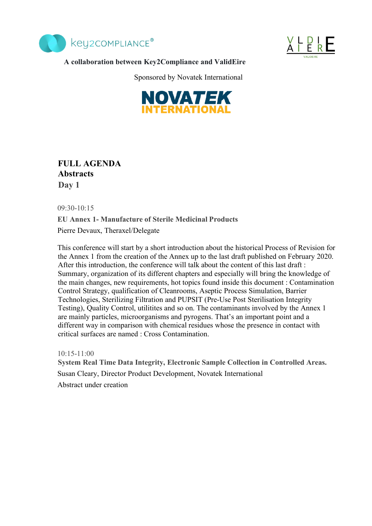



#### **A collaboration between Key2Compliance and ValidEire**

Sponsored by Novatek International



**FULL AGENDA Abstracts Day 1**

09:30-10:15

**EU Annex 1- Manufacture of Sterile Medicinal Products**

Pierre Devaux, Theraxel/Delegate

This conference will start by a short introduction about the historical Process of Revision for the Annex 1 from the creation of the Annex up to the last draft published on February 2020. After this introduction, the conference will talk about the content of this last draft : Summary, organization of its different chapters and especially will bring the knowledge of the main changes, new requirements, hot topics found inside this document : Contamination Control Strategy, qualification of Cleanrooms, Aseptic Process Simulation, Barrier Technologies, Sterilizing Filtration and PUPSIT (Pre-Use Post Sterilisation Integrity Testing), Quality Control, utilitites and so on. The contaminants involved by the Annex 1 are mainly particles, microorganisms and pyrogens. That's an important point and a different way in comparison with chemical residues whose the presence in contact with critical surfaces are named : Cross Contamination.

 $10.15 - 11.00$ **System Real Time Data Integrity, Electronic Sample Collection in Controlled Areas.** Susan Cleary, Director Product Development, Novatek International Abstract under creation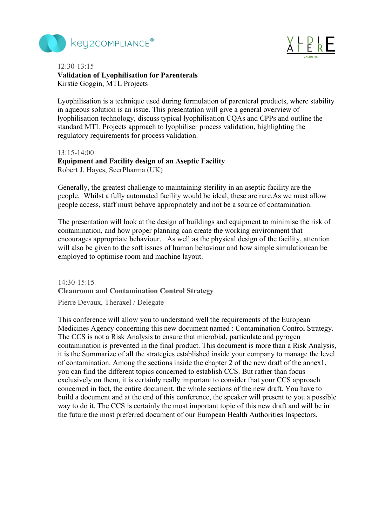



### 12:30-13:15 **Validation of Lyophilisation for Parenterals** Kirstie Goggin, MTL Projects

Lyophilisation is a technique used during formulation of parenteral products, where stability in aqueous solution is an issue. This presentation will give a general overview of lyophilisation technology, discuss typical lyophilisation CQAs and CPPs and outline the standard MTL Projects approach to lyophiliser process validation, highlighting the regulatory requirements for process validation.

#### $13.15 - 14.00$

#### **Equipment and Facility design of an Aseptic Facility**

Robert J. Hayes, SeerPharma (UK)

Generally, the greatest challenge to maintaining sterility in an aseptic facility are the people. Whilst a fully automated facility would be ideal, these are rare.As we must allow people access, staff must behave appropriately and not be a source of contamination.

The presentation will look at the design of buildings and equipment to minimise the risk of contamination, and how proper planning can create the working environment that encourages appropriate behaviour. As well as the physical design of the facility, attention will also be given to the soft issues of human behaviour and how simple simulationcan be employed to optimise room and machine layout.

### 14:30-15:15 **Cleanroom and Contamination Control Strategy**

Pierre Devaux, Theraxel / Delegate

This conference will allow you to understand well the requirements of the European Medicines Agency concerning this new document named : Contamination Control Strategy. The CCS is not a Risk Analysis to ensure that microbial, particulate and pyrogen contamination is prevented in the final product. This document is more than a Risk Analysis, it is the Summarize of all the strategies established inside your company to manage the level of contamination. Among the sections inside the chapter 2 of the new draft of the annex1, you can find the different topics concerned to establish CCS. But rather than focus exclusively on them, it is certainly really important to consider that your CCS approach concerned in fact, the entire document, the whole sections of the new draft. You have to build a document and at the end of this conference, the speaker will present to you a possible way to do it. The CCS is certainly the most important topic of this new draft and will be in the future the most preferred document of our European Health Authorities Inspectors.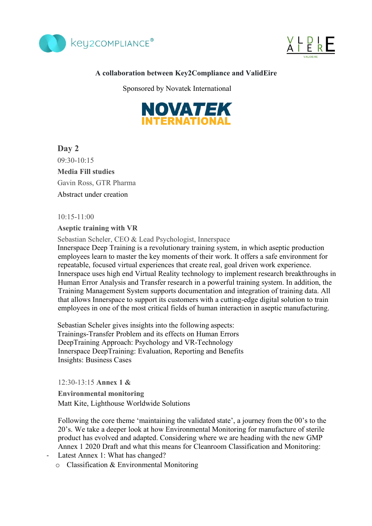



### **A collaboration between Key2Compliance and ValidEire**

Sponsored by Novatek International



**Day 2** 09:30-10:15 **Media Fill studies** Gavin Ross, GTR Pharma Abstract under creation

10:15-11:00

#### **Aseptic training with VR**

Sebastian Scheler, CEO & Lead Psychologist, Innerspace

Innerspace Deep Training is a revolutionary training system, in which aseptic production employees learn to master the key moments of their work. It offers a safe environment for repeatable, focused virtual experiences that create real, goal driven work experience. Innerspace uses high end Virtual Reality technology to implement research breakthroughs in Human Error Analysis and Transfer research in a powerful training system. In addition, the Training Management System supports documentation and integration of training data. All that allows Innerspace to support its customers with a cutting-edge digital solution to train employees in one of the most critical fields of human interaction in aseptic manufacturing.

Sebastian Scheler gives insights into the following aspects: Trainings-Transfer Problem and its effects on Human Errors DeepTraining Approach: Psychology and VR-Technology Innerspace DeepTraining: Evaluation, Reporting and Benefits Insights: Business Cases

12:30-13:15 **Annex 1 &** 

**Environmental monitoring**  Matt Kite, Lighthouse Worldwide Solutions

Following the core theme 'maintaining the validated state', a journey from the 00's to the 20's. We take a deeper look at how Environmental Monitoring for manufacture of sterile product has evolved and adapted. Considering where we are heading with the new GMP Annex 1 2020 Draft and what this means for Cleanroom Classification and Monitoring:

- Latest Annex 1: What has changed?
	- o Classification & Environmental Monitoring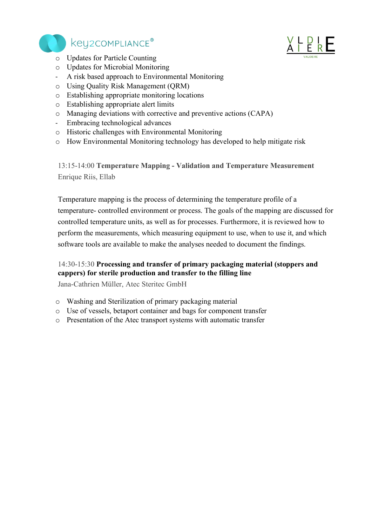

# key2COMPLIANCE®



- o Updates for Particle Counting
- o Updates for Microbial Monitoring
- A risk based approach to Environmental Monitoring
- o Using Quality Risk Management (QRM)
- o Establishing appropriate monitoring locations
- o Establishing appropriate alert limits
- o Managing deviations with corrective and preventive actions (CAPA)
- Embracing technological advances
- o Historic challenges with Environmental Monitoring
- o How Environmental Monitoring technology has developed to help mitigate risk

13:15-14:00 **Temperature Mapping - Validation and Temperature Measurement** Enrique Riis, Ellab

Temperature mapping is the process of determining the temperature profile of a temperature- controlled environment or process. The goals of the mapping are discussed for controlled temperature units, as well as for processes. Furthermore, it is reviewed how to perform the measurements, which measuring equipment to use, when to use it, and which software tools are available to make the analyses needed to document the findings.

### 14:30-15:30 **Processing and transfer of primary packaging material (stoppers and cappers) for sterile production and transfer to the filling line**

Jana-Cathrien Müller, Atec Steritec GmbH

- o Washing and Sterilization of primary packaging material
- o Use of vessels, betaport container and bags for component transfer
- o Presentation of the Atec transport systems with automatic transfer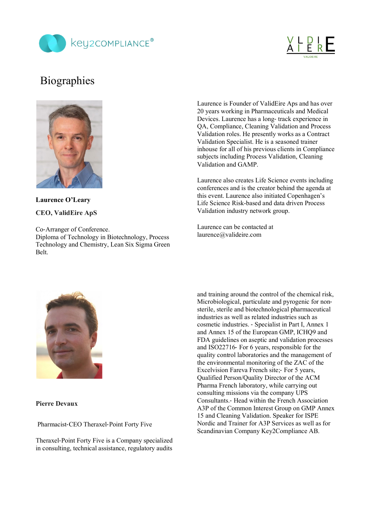



# **Biographies**



**Laurence O'Leary CEO, ValidEire ApS**

Co-Arranger of Conference. Diploma of Technology in Biotechnology, Process Technology and Chemistry, Lean Six Sigma Green Belt.

Laurence is Founder of ValidEire Aps and has over 20 years working in Pharmaceuticals and Medical Devices. Laurence has a long- track experience in QA, Compliance, Cleaning Validation and Process Validation roles. He presently works as a Contract Validation Specialist. He is a seasoned trainer inhouse for all of his previous clients in Compliance subjects including Process Validation, Cleaning Validation and GAMP.

Laurence also creates Life Science events including conferences and is the creator behind the agenda at this event. Laurence also initiated Copenhagen's Life Science Risk-based and data driven Process Validation industry network group.

Laurence can be contacted at laurence@valideire.com



**Pierre Devaux**

Pharmacist-CEO Theraxel-Point Forty Five

Theraxel-Point Forty Five is a Company specialized in consulting, technical assistance, regulatory audits and training around the control of the chemical risk, Microbiological, particulate and pyrogenic for nonsterile, sterile and biotechnological pharmaceutical industries as well as related industries such as cosmetic industries. - Specialist in Part I, Annex 1 and Annex 15 of the European GMP, ICHQ9 and FDA guidelines on aseptic and validation processes and ISO22716- For 6 years, responsible for the quality control laboratories and the management of the environmental monitoring of the ZAC of the Excelvision Fareva French site;- For 5 years, Qualified Person/Quality Director of the ACM Pharma French laboratory, while carrying out consulting missions via the company UPS Consultants.- Head within the French Association A3P of the Common Interest Group on GMP Annex 15 and Cleaning Validation. Speaker for ISPE Nordic and Trainer for A3P Services as well as for Scandinavian Company Key2Compliance AB.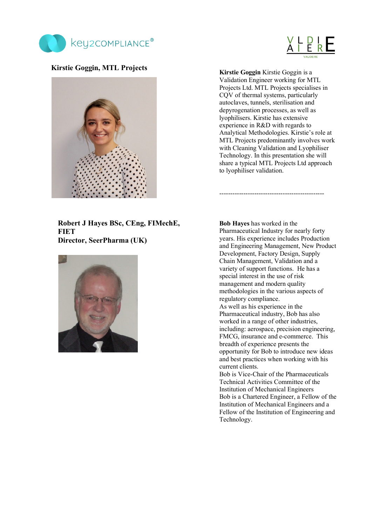



#### **Kirstie Goggin, MTL Projects**



**Kirstie Goggin** Kirstie Goggin is a Validation Engineer working for MTL Projects Ltd. MTL Projects specialises in CQV of thermal systems, particularly autoclaves, tunnels, sterilisation and depyrogenation processes, as well as lyophilisers. Kirstie has extensive experience in R&D with regards to Analytical Methodologies. Kirstie's role at MTL Projects predominantly involves work with Cleaning Validation and Lyophiliser Technology. In this presentation she will share a typical MTL Projects Ltd approach to lyophiliser validation.

------------------------------------------------

**Robert J Hayes BSc, CEng, FIMechE, FIET Director, SeerPharma (UK)**



**Bob Hayes** has worked in the Pharmaceutical Industry for nearly forty years. His experience includes Production and Engineering Management, New Product Development, Factory Design, Supply Chain Management, Validation and a variety of support functions. He has a special interest in the use of risk management and modern quality methodologies in the various aspects of regulatory compliance. As well as his experience in the

Pharmaceutical industry, Bob has also worked in a range of other industries, including: aerospace, precision engineering, FMCG, insurance and e-commerce. This breadth of experience presents the opportunity for Bob to introduce new ideas and best practices when working with his current clients.

Bob is Vice-Chair of the Pharmaceuticals Technical Activities Committee of the Institution of Mechanical Engineers Bob is a Chartered Engineer, a Fellow of the Institution of Mechanical Engineers and a Fellow of the Institution of Engineering and Technology.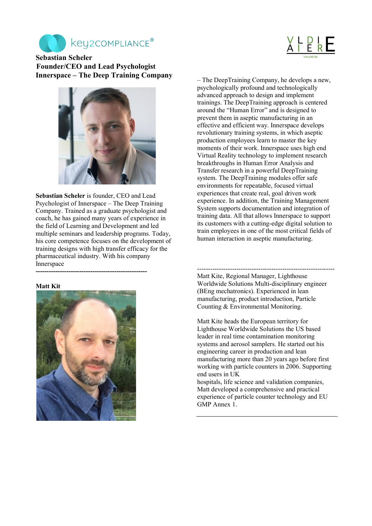



**Sebastian Scheler Founder/CEO and Lead Psychologist Innerspace – The Deep Training Company** 



**Sebastian Scheler** is founder, CEO and Lead Psychologist of Innerspace – The Deep Training Company. Trained as a graduate psychologist and coach, he has gained many years of experience in the field of Learning and Development and led multiple seminars and leadership programs. Today, his core competence focuses on the development of training designs with high transfer efficacy for the pharmaceutical industry. With his company Innerspace **---------------------------------------------------**

#### **Matt Kit**



– The DeepTraining Company, he develops a new, psychologically profound and technologically advanced approach to design and implement trainings. The DeepTraining approach is centered around the "Human Error" and is designed to prevent them in aseptic manufacturing in an effective and efficient way. Innerspace develops revolutionary training systems, in which aseptic production employees learn to master the key moments of their work. Innerspace uses high end Virtual Reality technology to implement research breakthroughs in Human Error Analysis and Transfer research in a powerful DeepTraining system. The DeepTraining modules offer safe environments for repeatable, focused virtual experiences that create real, goal driven work experience. In addition, the Training Management System supports documentation and integration of training data. All that allows Innerspace to support its customers with a cutting-edge digital solution to train employees in one of the most critical fields of human interaction in aseptic manufacturing.

--------------------------------------------------------------- Matt Kite, Regional Manager, Lighthouse Worldwide Solutions Multi-disciplinary engineer (BEng mechatronics). Experienced in lean manufacturing, product introduction, Particle Counting & Environmental Monitoring.

Matt Kite heads the European territory for Lighthouse Worldwide Solutions the US based leader in real time contamination monitoring systems and aerosol samplers. He started out his engineering career in production and lean manufacturing more than 20 years ago before first working with particle counters in 2006. Supporting end users in UK

hospitals, life science and validation companies, Matt developed a comprehensive and practical experience of particle counter technology and EU GMP Annex 1.